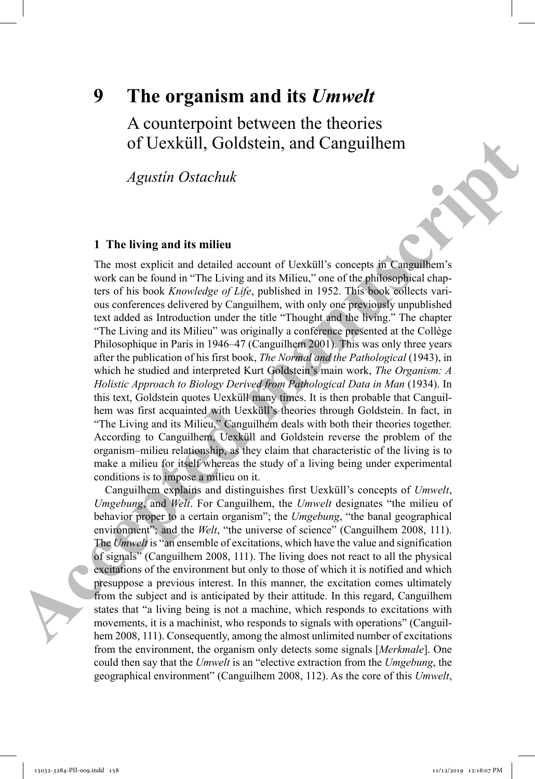A counterpoint between the theories of Uexküll, Goldstein, and Canguilhem

 *Agustín Ostachuk* 

## **1 The living and its milieu**

 The most explicit and detailed account of Uexküll's concepts in Canguilhem's work can be found in "The Living and its Milieu," one of the philosophical chapters of his book *Knowledge of Life* , published in 1952 . This book collects various conferences delivered by Canguilhem, with only one previously unpublished text added as Introduction under the title "Thought and the living." The chapter "The Living and its Milieu" was originally a conference presented at the Collège Philosophique in Paris in 1946–47 (Canguilhem 2001). This was only three years after the publication of his first book, *The Normal and the Pathological* ( 1943 ), in which he studied and interpreted Kurt Goldstein's main work, *The Organism: A Holistic Approach to Biology Derived from Pathological Data in Man* (1934). In this text, Goldstein quotes Uexküll many times. It is then probable that Canguilhem was first acquainted with Uexküll's theories through Goldstein. In fact, in "The Living and its Milieu," Canguilhem deals with both their theories together. According to Canguilhem, Uexküll and Goldstein reverse the problem of the organism–milieu relationship, as they claim that characteristic of the living is to make a milieu for itself whereas the study of a living being under experimental conditions is to impose a milieu on it. of Ucxküll, Goldstein, and Canguilhem<br> *Agustin Ostachuk*<br> **Agustin Ostachuk**<br> **The niving and its militen**<br> **The most explicit and detailed account of Ueskill's concepts in Campullhem**<br>
were can be found in "the living an

Canguilhem explains and distinguishes first Uexküll's concepts of *Umwelt*, *Umgebung*, and *Welt*. For Canguilhem, the *Umwelt* designates "the milieu of behavior proper to a certain organism"; the *Umgebung* , "the banal geographical environment"; and the *Welt*, "the universe of science" (Canguilhem 2008, 111). The *Umwelt* is "an ensemble of excitations, which have the value and signification of signals" (Canguilhem 2008, 111). The living does not react to all the physical excitations of the environment but only to those of which it is notified and which presuppose a previous interest. In this manner, the excitation comes ultimately from the subject and is anticipated by their attitude. In this regard, Canguilhem states that "a living being is not a machine, which responds to excitations with movements, it is a machinist, who responds to signals with operations" (Canguilhem 2008, 111). Consequently, among the almost unlimited number of excitations from the environment, the organism only detects some signals [ *Merkmale* ]. One could then say that the *Umwelt* is an "elective extraction from the *Umgebung* , the geographical environment" (Canguilhem 2008, 112). As the core of this *Umwelt*,

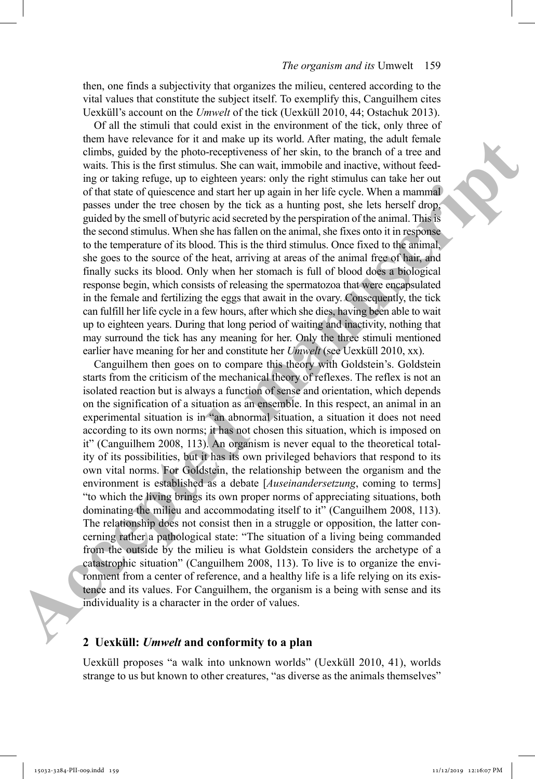then, one finds a subjectivity that organizes the milieu, centered according to the vital values that constitute the subject itself. To exemplify this, Canguilhem cites Uexküll's account on the *Umwelt* of the tick (Uexküll 2010, 44; Ostachuk 2013).

 Of all the stimuli that could exist in the environment of the tick, only three of them have relevance for it and make up its world. After mating, the adult female climbs, guided by the photo-receptiveness of her skin, to the branch of a tree and waits. This is the first stimulus. She can wait, immobile and inactive, without feeding or taking refuge, up to eighteen years: only the right stimulus can take her out of that state of quiescence and start her up again in her life cycle. When a mammal passes under the tree chosen by the tick as a hunting post, she lets herself drop, guided by the smell of butyric acid secreted by the perspiration of the animal. This is the second stimulus. When she has fallen on the animal, she fixes onto it in response to the temperature of its blood. This is the third stimulus. Once fixed to the animal, she goes to the source of the heat, arriving at areas of the animal free of hair, and finally sucks its blood. Only when her stomach is full of blood does a biological response begin, which consists of releasing the spermatozoa that were encapsulated in the female and fertilizing the eggs that await in the ovary. Consequently, the tick can fulfill her life cycle in a few hours, after which she dies, having been able to wait up to eighteen years. During that long period of waiting and inactivity, nothing that may surround the tick has any meaning for her. Only the three stimuli mentioned earlier have meaning for her and constitute her *Umwelt* (see Uexküll 2010, xx).

 Canguilhem then goes on to compare this theory with Goldstein's. Goldstein starts from the criticism of the mechanical theory of reflexes. The reflex is not an isolated reaction but is always a function of sense and orientation, which depends on the signification of a situation as an ensemble. In this respect, an animal in an experimental situation is in "an abnormal situation, a situation it does not need according to its own norms; it has not chosen this situation, which is imposed on it" ( Canguilhem 2008 , 113). An organism is never equal to the theoretical totality of its possibilities, but it has its own privileged behaviors that respond to its own vital norms. For Goldstein, the relationship between the organism and the environment is established as a debate [ *Auseinandersetzung* , coming to terms] "to which the living brings its own proper norms of appreciating situations, both dominating the milieu and accommodating itself to it" ( Canguilhem 2008 , 113). The relationship does not consist then in a struggle or opposition, the latter concerning rather a pathological state: "The situation of a living being commanded from the outside by the milieu is what Goldstein considers the archetype of a catastrophic situation" (Canguilhem 2008, 113). To live is to organize the environment from a center of reference, and a healthy life is a life relying on its existence and its values. For Canguilhem, the organism is a being with sense and its individuality is a character in the order of values. Them have freelyoak for franchise to the share manuscript<br>chinds, guided by the photo-exceptiveness of her skin, to the branchi of a tree and<br>wisin. This are first simulats. She can wait, immode and machive, while the stat

# **2 Uexküll:** *Umwelt* **and conformity to a plan**

Uexküll proposes "a walk into unknown worlds" (Uexküll 2010, 41), worlds strange to us but known to other creatures, "as diverse as the animals themselves"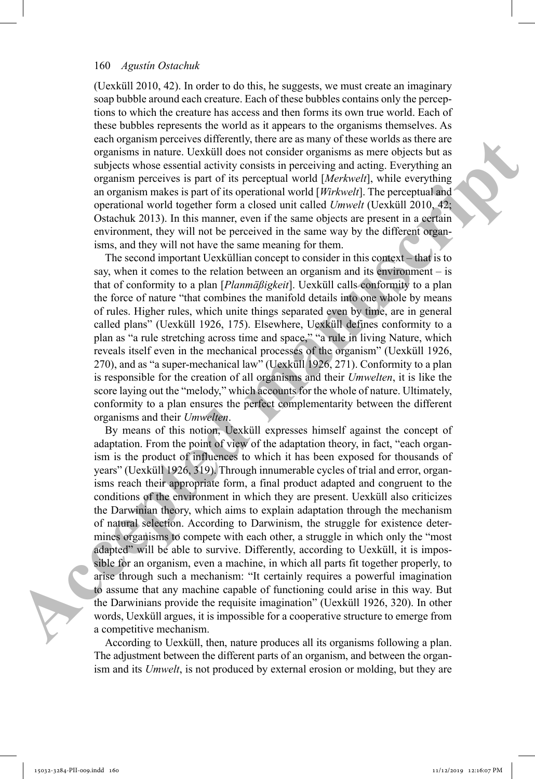( Uexk üll 2010, 42). In order to do this, he suggests, we must create an imaginary soap bubble around each creature. Each of these bubbles contains only the perceptions to which the creature has access and then forms its own true world. Each of these bubbles represents the world as it appears to the organisms themselves. As each organism perceives differently, there are as many of these worlds as there are organisms in nature. Uexküll does not consider organisms as mere objects but as subjects whose essential activity consists in perceiving and acting. Everything an organism perceives is part of its perceptual world [ *Merkwelt* ], while everything an organism makes is part of its operational world [ *Wirkwelt* ]. The perceptual and operational world together form a closed unit called *Umwelt* (Uexküll 2010, 42; Ostachuk 2013 ). In this manner, even if the same objects are present in a certain environment, they will not be perceived in the same way by the different organisms, and they will not have the same meaning for them.

 The second important Uexküllian concept to consider in this context – that is to say, when it comes to the relation between an organism and its environment – is that of conformity to a plan [*Planmäßigkeit*]. Uexküll calls conformity to a plan the force of nature "that combines the manifold details into one whole by means of rules. Higher rules, which unite things separated even by time, are in general called plans" (Uexküll 1926, 175). Elsewhere, Uexküll defines conformity to a plan as "a rule stretching across time and space," "a rule in living Nature, which reveals itself even in the mechanical processes of the organism" (Uexküll 1926, 270), and as "a super-mechanical law" (Uexküll 1926, 271). Conformity to a plan is responsible for the creation of all organisms and their *Umwelten* , it is like the score laying out the "melody," which accounts for the whole of nature. Ultimately, conformity to a plan ensures the perfect complementarity between the different organisms and their *Umwelten* .

 By means of this notion, Uexküll expresses himself against the concept of adaptation. From the point of view of the adaptation theory, in fact, "each organism is the product of influences to which it has been exposed for thousands of years" (Uexküll 1926, 319). Through innumerable cycles of trial and error, organisms reach their appropriate form, a final product adapted and congruent to the conditions of the environment in which they are present. Uexküll also criticizes the Darwinian theory, which aims to explain adaptation through the mechanism of natural selection. According to Darwinism, the struggle for existence determines organisms to compete with each other, a struggle in which only the "most adapted" will be able to survive. Differently, according to Uexküll, it is impossible for an organism, even a machine, in which all parts fit together properly, to arise through such a mechanism: "It certainly requires a powerful imagination to assume that any machine capable of functioning could arise in this way. But the Darwinians provide the requisite imagination" (Uexküll 1926, 320). In other words, Uexküll argues, it is impossible for a cooperative structure to emerge from a competitive mechanism. extra digital meterology there are the manuscript to the manuscript and the state and the state and the state and the state and the state and the state and the state and the state and the state and the state of the state o

 According to Uexküll, then, nature produces all its organisms following a plan. The adjustment between the different parts of an organism, and between the organism and its *Umwelt* , is not produced by external erosion or molding, but they are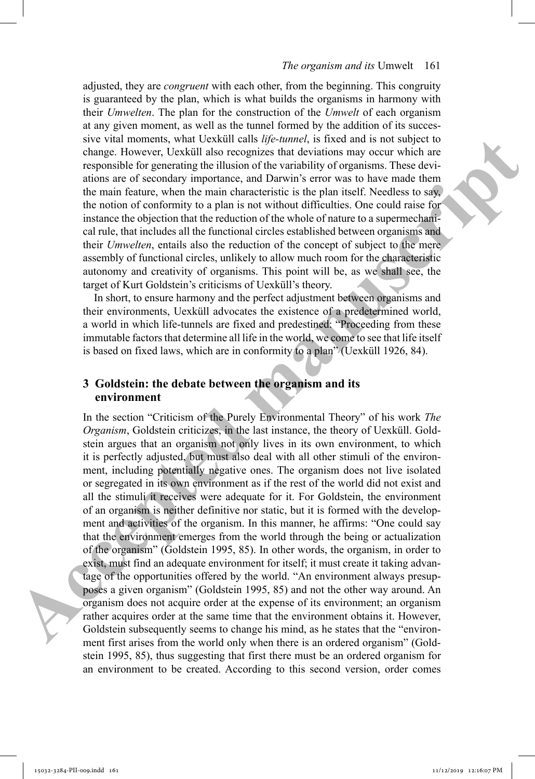adjusted, they are *congruent* with each other, from the beginning. This congruity is guaranteed by the plan, which is what builds the organisms in harmony with their *Umwelten* . The plan for the construction of the *Umwelt* of each organism at any given moment, as well as the tunnel formed by the addition of its successive vital moments, what Uexküll calls *life-tunnel* , is fixed and is not subject to change. However, Uexküll also recognizes that deviations may occur which are responsible for generating the illusion of the variability of organisms. These deviations are of secondary importance, and Darwin's error was to have made them the main feature, when the main characteristic is the plan itself. Needless to say, the notion of conformity to a plan is not without difficulties. One could raise for instance the objection that the reduction of the whole of nature to a supermechanical rule, that includes all the functional circles established between organisms and their *Umwelten* , entails also the reduction of the concept of subject to the mere assembly of functional circles, unlikely to allow much room for the characteristic autonomy and creativity of organisms. This point will be, as we shall see, the target of Kurt Goldstein's criticisms of Uexküll's theory.

 In short, to ensure harmony and the perfect adjustment between organisms and their environments, Uexküll advocates the existence of a predetermined world, a world in which life-tunnels are fixed and predestined: "Proceeding from these immutable factors that determine all life in the world, we come to see that life itself is based on fixed laws, which are in conformity to a plan" (Uexküll 1926, 84).

# **3 Goldstein: the debate between the organism and its environment**

 In the section "Criticism of the Purely Environmental Theory" of his work *The Organism*, Goldstein criticizes, in the last instance, the theory of Uexküll. Goldstein argues that an organism not only lives in its own environment, to which it is perfectly adjusted, but must also deal with all other stimuli of the environment, including potentially negative ones. The organism does not live isolated or segregated in its own environment as if the rest of the world did not exist and all the stimuli it receives were adequate for it. For Goldstein, the environment of an organism is neither definitive nor static, but it is formed with the development and activities of the organism. In this manner, he affirms: "One could say that the environment emerges from the world through the being or actualization of the organism" ( Goldstein 1995 , 85). In other words, the organism, in order to exist, must find an adequate environment for itself; it must create it taking advantage of the opportunities offered by the world. "An environment always presupposes a given organism" (Goldstein 1995, 85) and not the other way around. An organism does not acquire order at the expense of its environment; an organism rather acquires order at the same time that the environment obtains it. However, Goldstein subsequently seems to change his mind, as he states that the "environment first arises from the world only when there is an ordered organism" (Goldstein 1995, 85), thus suggesting that first there must be an ordered organism for an environment to be created. According to this second version, order comes See via moments, which costure and so *m*<sup>2</sup>*Nance* and is to see the manuscriptic that the stress of the stress of the stress of the stress of the stress of the stress of the stress of the stress of the stress of the moti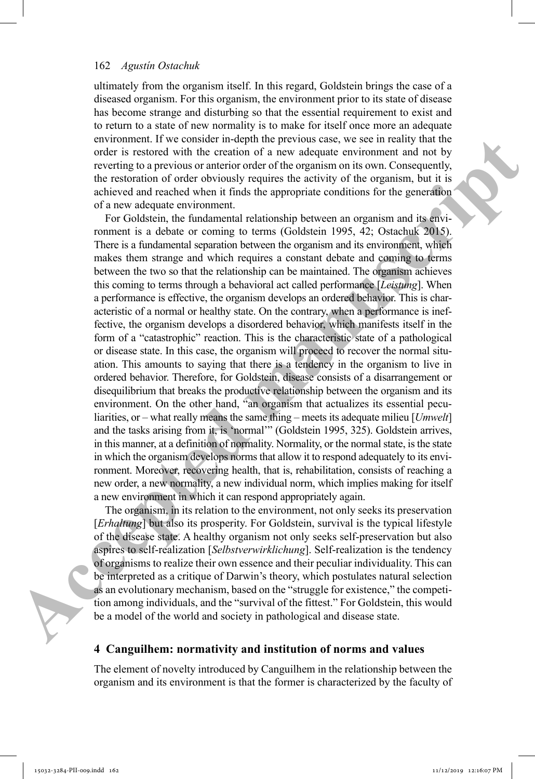ultimately from the organism itself. In this regard, Goldstein brings the case of a diseased organism. For this organism, the environment prior to its state of disease has become strange and disturbing so that the essential requirement to exist and to return to a state of new normality is to make for itself once more an adequate environment. If we consider in-depth the previous case, we see in reality that the order is restored with the creation of a new adequate environment and not by reverting to a previous or anterior order of the organism on its own. Consequently, the restoration of order obviously requires the activity of the organism, but it is achieved and reached when it finds the appropriate conditions for the generation of a new adequate environment.

 For Goldstein, the fundamental relationship between an organism and its environment is a debate or coming to terms (Goldstein 1995, 42; Ostachuk 2015). There is a fundamental separation between the organism and its environment, which makes them strange and which requires a constant debate and coming to terms between the two so that the relationship can be maintained. The organism achieves this coming to terms through a behavioral act called performance [ *Leistung* ]. When a performance is effective, the organism develops an ordered behavior. This is characteristic of a normal or healthy state. On the contrary, when a performance is ineffective, the organism develops a disordered behavior, which manifests itself in the form of a "catastrophic" reaction. This is the characteristic state of a pathological or disease state. In this case, the organism will proceed to recover the normal situation. This amounts to saying that there is a tendency in the organism to live in ordered behavior. Therefore, for Goldstein, disease consists of a disarrangement or disequilibrium that breaks the productive relationship between the organism and its environment. On the other hand, "an organism that actualizes its essential peculiarities, or – what really means the same thing – meets its adequate milieu [ *Umwelt* ] and the tasks arising from it, is 'normal'" (Goldstein 1995, 325). Goldstein arrives, in this manner, at a definition of normality. Normality, or the normal state, is the state in which the organism develops norms that allow it to respond adequately to its environment. Moreover, recovering health, that is, rehabilitation, consists of reaching a new order, a new normality, a new individual norm, which implies making for itself a new environment in which it can respond appropriately again. environment: It we consider in-equal on the previous ease, we assemble and the previous condensite the transmitter of the organism on its comparison in the system and the previous condensites the transmitter of the compari

 The organism, in its relation to the environment, not only seeks its preservation [*Erhaltung*] but also its prosperity. For Goldstein, survival is the typical lifestyle of the disease state. A healthy organism not only seeks self-preservation but also aspires to self-realization [*Selbstverwirklichung*]. Self-realization is the tendency of organisms to realize their own essence and their peculiar individuality. This can be interpreted as a critique of Darwin's theory, which postulates natural selection as an evolutionary mechanism, based on the "struggle for existence," the competition among individuals, and the "survival of the fittest." For Goldstein, this would be a model of the world and society in pathological and disease state.

### **4 Canguilhem: normativity and institution of norms and values**

 The element of novelty introduced by Canguilhem in the relationship between the organism and its environment is that the former is characterized by the faculty of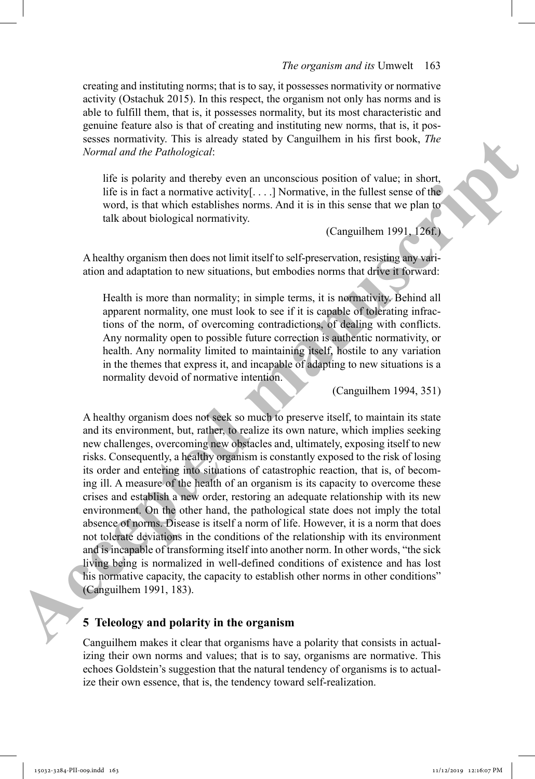creating and instituting norms; that is to say, it possesses normativity or normative activity (Ostachuk 2015). In this respect, the organism not only has norms and is able to fulfill them, that is, it possesses normality, but its most characteristic and genuine feature also is that of creating and instituting new norms, that is, it possesses normativity. This is already stated by Canguilhem in his first book, *The Normal and the Pathological* :

 life is polarity and thereby even an unconscious position of value; in short, life is in fact a normative activity[. . . .] Normative, in the fullest sense of the word, is that which establishes norms. And it is in this sense that we plan to talk about biological normativity.

( Canguilhem 1991 , 126f.)

 A healthy organism then does not limit itself to self-preservation, resisting any variation and adaptation to new situations, but embodies norms that drive it forward:

 Health is more than normality; in simple terms, it is normativity. Behind all apparent normality, one must look to see if it is capable of tolerating infractions of the norm, of overcoming contradictions, of dealing with conflicts. Any normality open to possible future correction is authentic normativity, or health. Any normality limited to maintaining itself, hostile to any variation in the themes that express it, and incapable of adapting to new situations is a normality devoid of normative intention.

( Canguilhem 1994 , 351)

 A healthy organism does not seek so much to preserve itself, to maintain its state and its environment, but, rather, to realize its own nature, which implies seeking new challenges, overcoming new obstacles and, ultimately, exposing itself to new risks. Consequently, a healthy organism is constantly exposed to the risk of losing its order and entering into situations of catastrophic reaction, that is, of becoming ill. A measure of the health of an organism is its capacity to overcome these crises and establish a new order, restoring an adequate relationship with its new environment. On the other hand, the pathological state does not imply the total absence of norms. Disease is itself a norm of life. However, it is a norm that does not tolerate deviations in the conditions of the relationship with its environment and is incapable of transforming itself into another norm. In other words, "the sick living being is normalized in well-defined conditions of existence and has lost his normative capacity, the capacity to establish other norms in other conditions" (Canguilhem 1991, 183). Since formativity in start and start and start and the manuscription of the start and the transformation of the start and the start and the start and start and the start and the start and the start and the start and the st

# **5 Teleology and polarity in the organism**

 Canguilhem makes it clear that organisms have a polarity that consists in actualizing their own norms and values; that is to say, organisms are normative. This echoes Goldstein's suggestion that the natural tendency of organisms is to actualize their own essence, that is, the tendency toward self-realization.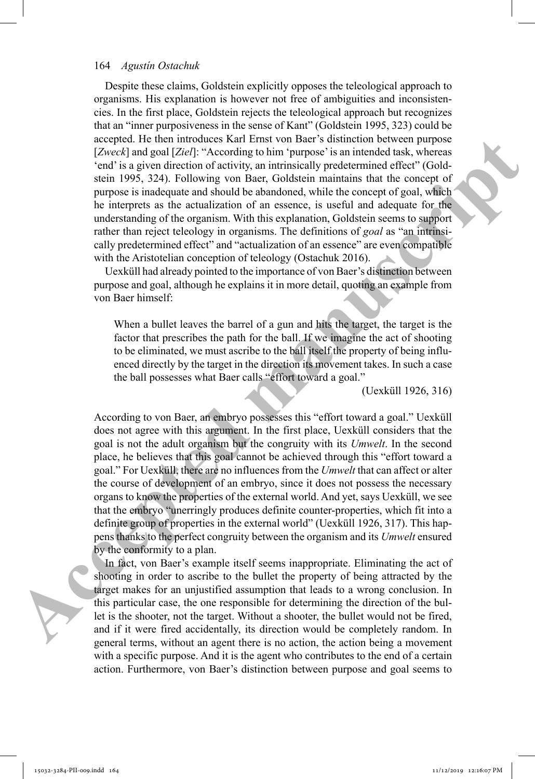Despite these claims, Goldstein explicitly opposes the teleological approach to organisms. His explanation is however not free of ambiguities and inconsistencies. In the first place, Goldstein rejects the teleological approach but recognizes that an "inner purposiveness in the sense of Kant" (Goldstein 1995, 323) could be accepted. He then introduces Karl Ernst von Baer's distinction between purpose [*Zweck*] and goal [*Ziel*]: "According to him 'purpose' is an intended task, whereas 'end' is a given direction of activity, an intrinsically predetermined effect" ( Goldstein 1995 , 324). Following von Baer, Goldstein maintains that the concept of purpose is inadequate and should be abandoned, while the concept of goal, which he interprets as the actualization of an essence, is useful and adequate for the understanding of the organism. With this explanation, Goldstein seems to support rather than reject teleology in organisms. The definitions of *goal* as "an intrinsically predetermined effect" and "actualization of an essence" are even compatible with the Aristotelian conception of teleology (Ostachuk 2016).

 Uexküll had already pointed to the importance of von Baer's distinction between purpose and goal, although he explains it in more detail, quoting an example from von Baer himself:

 When a bullet leaves the barrel of a gun and hits the target, the target is the factor that prescribes the path for the ball. If we imagine the act of shooting to be eliminated, we must ascribe to the ball itself the property of being influenced directly by the target in the direction its movement takes. In such a case the ball possesses what Baer calls "effort toward a goal."

( Uexk üll 1926, 316)

 According to von Baer, an embryo possesses this "effort toward a goal." Uexküll does not agree with this argument. In the first place, Uexküll considers that the goal is not the adult organism but the congruity with its *Umwelt* . In the second place, he believes that this goal cannot be achieved through this "effort toward a goal." For Uexküll, there are no influences from the *Umwelt* that can affect or alter the course of development of an embryo, since it does not possess the necessary organs to know the properties of the external world. And yet, says Uexküll, we see that the embryo "unerringly produces definite counter-properties, which fit into a definite group of properties in the external world" (Uexküll 1926, 317). This happens thanks to the perfect congruity between the organism and its *Umwelt* ensured by the conformity to a plan. **Accepted manufatures with the matrimore and simulated content of the matrimore of the street in the matrimore of the street in the street in a given direct space of the street in a given direct in the street in the street** 

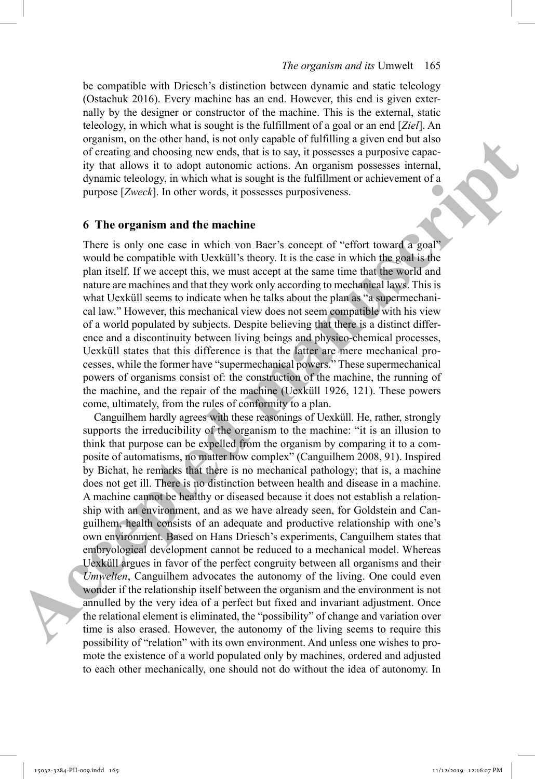be compatible with Driesch's distinction between dynamic and static teleology (Ostachuk 2016). Every machine has an end. However, this end is given externally by the designer or constructor of the machine. This is the external, static teleology, in which what is sought is the fulfillment of a goal or an end [ *Ziel* ]. An organism, on the other hand, is not only capable of fulfilling a given end but also of creating and choosing new ends, that is to say, it possesses a purposive capacity that allows it to adopt autonomic actions. An organism possesses internal, dynamic teleology, in which what is sought is the fulfillment or achievement of a purpose [ *Zweck* ]. In other words, it possesses purposiveness.

## **6 The organism and the machine**

 There is only one case in which von Baer's concept of "effort toward a goal" would be compatible with Uexküll's theory. It is the case in which the goal is the plan itself. If we accept this, we must accept at the same time that the world and nature are machines and that they work only according to mechanical laws. This is what Uexküll seems to indicate when he talks about the plan as "a supermechanical law." However, this mechanical view does not seem compatible with his view of a world populated by subjects. Despite believing that there is a distinct difference and a discontinuity between living beings and physico-chemical processes, Uexküll states that this difference is that the latter are mere mechanical processes, while the former have "supermechanical powers." These supermechanical powers of organisms consist of: the construction of the machine, the running of the machine, and the repair of the machine (Uexküll 1926, 121). These powers come, ultimately, from the rules of conformity to a plan.

 Canguilhem hardly agrees with these reasonings of Uexküll. He, rather, strongly supports the irreducibility of the organism to the machine: "it is an illusion to think that purpose can be expelled from the organism by comparing it to a composite of automatisms, no matter how complex" (Canguilhem 2008, 91). Inspired by Bichat, he remarks that there is no mechanical pathology; that is, a machine does not get ill. There is no distinction between health and disease in a machine. A machine cannot be healthy or diseased because it does not establish a relationship with an environment, and as we have already seen, for Goldstein and Canguilhem, health consists of an adequate and productive relationship with one's own environment. Based on Hans Driesch's experiments, Canguilhem states that embryological development cannot be reduced to a mechanical model. Whereas Uexküll argues in favor of the perfect congruity between all organisms and their *Umwelten*, Canguilhem advocates the autonomy of the living. One could even wonder if the relationship itself between the organism and the environment is not annulled by the very idea of a perfect but fixed and invariant adjustment. Once the relational element is eliminated, the "possibility" of change and variation over time is also erased. However, the autonomy of the living seems to require this possibility of "relation" with its own environment. And unless one wishes to promote the existence of a world populated only by machines, ordered and adjusted to each other mechanically, one should not do without the idea of autonomy. In organism, on the coner hand, is not only capable of numiting a given one out also<br>specific and choosing are weaks, that is to say, it possesses a parposive capacity<br>that allows it to adopt antiomate achievation. Are organi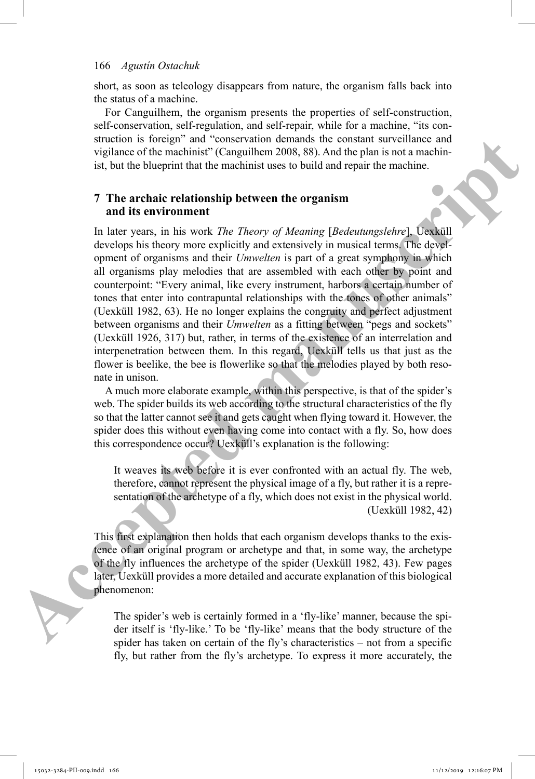short, as soon as teleology disappears from nature, the organism falls back into the status of a machine.

 For Canguilhem, the organism presents the properties of self-construction, self-conservation, self-regulation, and self-repair, while for a machine, "its construction is foreign" and "conservation demands the constant surveillance and vigilance of the machinist" ( Canguilhem 2008 , 88). And the plan is not a machinist, but the blueprint that the machinist uses to build and repair the machine.

# **7 The archaic relationship between the organism and its environment**

In later years, in his work *The Theory of Meaning* [*Bedeutungslehre*], Uexküll develops his theory more explicitly and extensively in musical terms. The development of organisms and their *Umwelten* is part of a great symphony in which all organisms play melodies that are assembled with each other by point and counterpoint: "Every animal, like every instrument, harbors a certain number of tones that enter into contrapuntal relationships with the tones of other animals" ( Uexk üll 1982, 63). He no longer explains the congruity and perfect adjustment between organisms and their *Umwelten* as a fitting between "pegs and sockets" ( Uexk üll 1926, 317) but, rather, in terms of the existence of an interrelation and interpenetration between them. In this regard, Uexküll tells us that just as the flower is beelike, the bee is flowerlike so that the melodies played by both resonate in unison. struction is foreign and conservation demants the constant survention as the machinary of the machinary Consultion 2008. 88). And the plan is not a machin-<br>
As, but the blueptnit that the machinary decoration and require t

 A much more elaborate example, within this perspective, is that of the spider's web. The spider builds its web according to the structural characteristics of the fly so that the latter cannot see it and gets caught when flying toward it. However, the spider does this without even having come into contact with a fly. So, how does this correspondence occur? Uexküll's explanation is the following:

 It weaves its web before it is ever confronted with an actual fly. The web, therefore, cannot represent the physical image of a fly, but rather it is a representation of the archetype of a fly, which does not exist in the physical world. ( Uexk üll 1982, 42)

 This first explanation then holds that each organism develops thanks to the existence of an original program or archetype and that, in some way, the archetype of the fly influences the archetype of the spider ( Uexk üll 1982, 43). Few pages later, Uexküll provides a more detailed and accurate explanation of this biological phenomenon:

 The spider's web is certainly formed in a 'fly-like' manner, because the spider itself is 'fly-like.' To be 'fly-like' means that the body structure of the spider has taken on certain of the fly's characteristics – not from a specific fly, but rather from the fly's archetype. To express it more accurately, the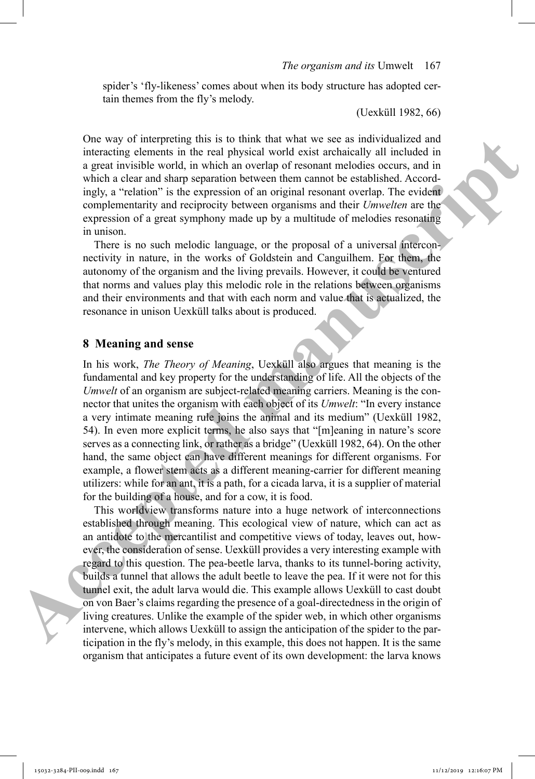spider's 'fly-likeness' comes about when its body structure has adopted certain themes from the fly's melody.

(Uexküll 1982, 66)

 One way of interpreting this is to think that what we see as individualized and interacting elements in the real physical world exist archaically all included in a great invisible world, in which an overlap of resonant melodies occurs, and in which a clear and sharp separation between them cannot be established. Accordingly, a "relation" is the expression of an original resonant overlap. The evident complementarity and reciprocity between organisms and their *Umwelten* are the expression of a great symphony made up by a multitude of melodies resonating in unison.

 There is no such melodic language, or the proposal of a universal interconnectivity in nature, in the works of Goldstein and Canguilhem. For them, the autonomy of the organism and the living prevails. However, it could be ventured that norms and values play this melodic role in the relations between organisms and their environments and that with each norm and value that is actualized, the resonance in unison Uexküll talks about is produced.

### **8 Meaning and sense**

 In his work, *The Theory of Meaning* , Uexküll also argues that meaning is the fundamental and key property for the understanding of life. All the objects of the *Umwelt* of an organism are subject-related meaning carriers. Meaning is the connector that unites the organism with each object of its *Umwelt* : "In every instance a very intimate meaning rule joins the animal and its medium" (Uexküll 1982, 54). In even more explicit terms, he also says that "[m]eaning in nature's score serves as a connecting link, or rather as a bridge" ( Uexk üll 1982, 64). On the other hand, the same object can have different meanings for different organisms. For example, a flower stem acts as a different meaning-carrier for different meaning utilizers: while for an ant, it is a path, for a cicada larva, it is a supplier of material for the building of a house, and for a cow, it is food. One Way of merperions pays to monic mate was we as a mateural state mateur and the state in the state in the state in the state in the state in the state in the state in the state in the state in the state of the state of

 This worldview transforms nature into a huge network of interconnections established through meaning. This ecological view of nature, which can act as an antidote to the mercantilist and competitive views of today, leaves out, however, the consideration of sense. Uexküll provides a very interesting example with regard to this question. The pea-beetle larva, thanks to its tunnel-boring activity, builds a tunnel that allows the adult beetle to leave the pea. If it were not for this tunnel exit, the adult larva would die. This example allows Uexküll to cast doubt on von Baer's claims regarding the presence of a goal-directedness in the origin of living creatures. Unlike the example of the spider web, in which other organisms intervene, which allows Uexküll to assign the anticipation of the spider to the participation in the fly's melody, in this example, this does not happen. It is the same organism that anticipates a future event of its own development: the larva knows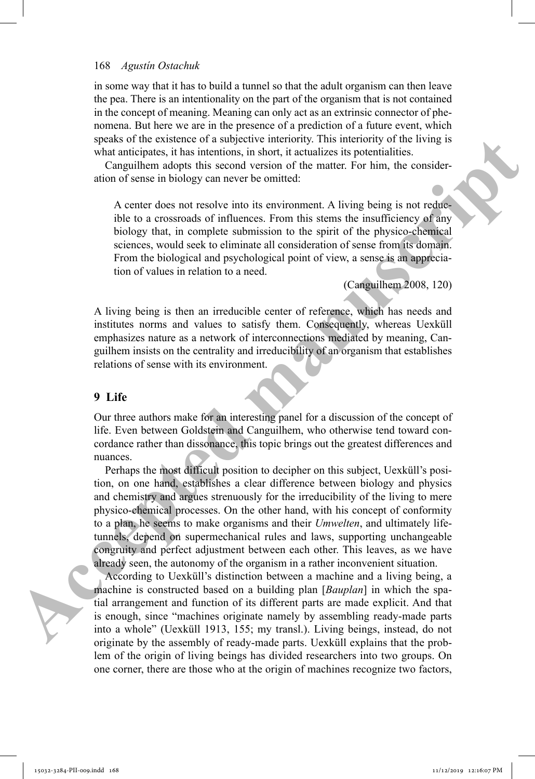in some way that it has to build a tunnel so that the adult organism can then leave the pea. There is an intentionality on the part of the organism that is not contained in the concept of meaning. Meaning can only act as an extrinsic connector of phenomena. But here we are in the presence of a prediction of a future event, which speaks of the existence of a subjective interiority. This interiority of the living is what anticipates, it has intentions, in short, it actualizes its potentialities.

 Canguilhem adopts this second version of the matter. For him, the consideration of sense in biology can never be omitted:

 A center does not resolve into its environment. A living being is not reducible to a crossroads of influences. From this stems the insufficiency of any biology that, in complete submission to the spirit of the physico-chemical sciences, would seek to eliminate all consideration of sense from its domain. From the biological and psychological point of view, a sense is an appreciation of values in relation to a need.

( Canguilhem 2008 , 120)

 A living being is then an irreducible center of reference, which has needs and institutes norms and values to satisfy them. Consequently, whereas Uexküll emphasizes nature as a network of interconnections mediated by meaning, Canguilhem insists on the centrality and irreducibility of an organism that establishes relations of sense with its environment.

# **9 Life**

 Our three authors make for an interesting panel for a discussion of the concept of life. Even between Goldstein and Canguilhem, who otherwise tend toward concordance rather than dissonance, this topic brings out the greatest differences and nuances.

 Perhaps the most difficult position to decipher on this subject, Uexküll's position, on one hand, establishes a clear difference between biology and physics and chemistry and argues strenuously for the irreducibility of the living to mere physico-chemical processes. On the other hand, with his concept of conformity to a plan, he seems to make organisms and their *Umwelten* , and ultimately lifetunnels, depend on supermechanical rules and laws, supporting unchangeable congruity and perfect adjustment between each other. This leaves, as we have already seen, the autonomy of the organism in a rather inconvenient situation. peaks of me existence of a subspecte memory into imtending the manuscript<br>
what anticipates, the antentions in short, it actualizes its potentialities.<br>
Canguillarm adopts this scool version of the matter. For him, the con

 According to Uexküll's distinction between a machine and a living being, a machine is constructed based on a building plan [*Bauplan*] in which the spatial arrangement and function of its different parts are made explicit. And that is enough, since "machines originate namely by assembling ready-made parts into a whole" (Uexküll 1913, 155; my transl.). Living beings, instead, do not originate by the assembly of ready-made parts. Uexküll explains that the problem of the origin of living beings has divided researchers into two groups. On one corner, there are those who at the origin of machines recognize two factors,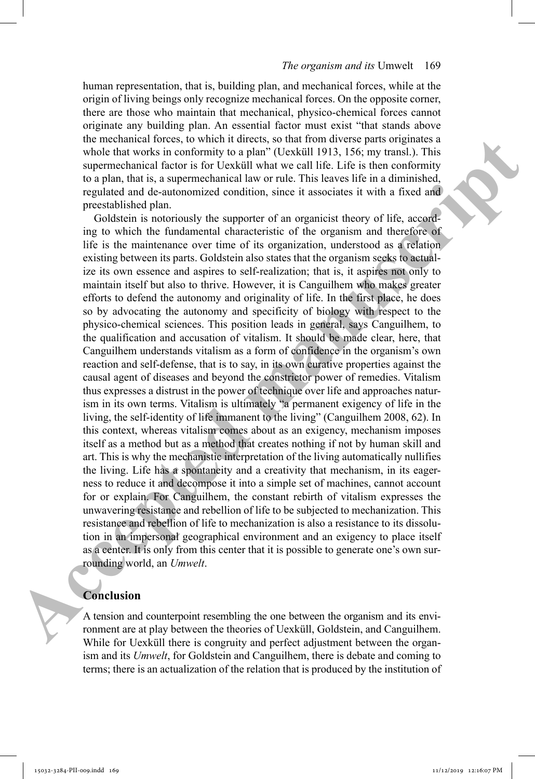human representation, that is, building plan, and mechanical forces, while at the origin of living beings only recognize mechanical forces. On the opposite corner, there are those who maintain that mechanical, physico-chemical forces cannot originate any building plan. An essential factor must exist "that stands above the mechanical forces, to which it directs, so that from diverse parts originates a whole that works in conformity to a plan" (Uexküll 1913, 156; my transl.). This supermechanical factor is for Uexküll what we call life. Life is then conformity to a plan, that is, a supermechanical law or rule. This leaves life in a diminished, regulated and de-autonomized condition, since it associates it with a fixed and preestablished plan.

 Goldstein is notoriously the supporter of an organicist theory of life, according to which the fundamental characteristic of the organism and therefore of life is the maintenance over time of its organization, understood as a relation existing between its parts. Goldstein also states that the organism seeks to actualize its own essence and aspires to self-realization; that is, it aspires not only to maintain itself but also to thrive. However, it is Canguilhem who makes greater efforts to defend the autonomy and originality of life. In the first place, he does so by advocating the autonomy and specificity of biology with respect to the physico-chemical sciences. This position leads in general, says Canguilhem, to the qualification and accusation of vitalism. It should be made clear, here, that Canguilhem understands vitalism as a form of confidence in the organism's own reaction and self-defense, that is to say, in its own curative properties against the causal agent of diseases and beyond the constrictor power of remedies. Vitalism thus expresses a distrust in the power of technique over life and approaches naturism in its own terms. Vitalism is ultimately "a permanent exigency of life in the living, the self-identity of life immanent to the living" (Canguilhem 2008, 62). In this context, whereas vitalism comes about as an exigency, mechanism imposes itself as a method but as a method that creates nothing if not by human skill and art. This is why the mechanistic interpretation of the living automatically nullifies the living. Life has a spontaneity and a creativity that mechanism, in its eagerness to reduce it and decompose it into a simple set of machines, cannot account for or explain. For Canguilhem, the constant rebirth of vitalism expresses the unwavering resistance and rebellion of life to be subjected to mechanization. This resistance and rebellion of life to mechanization is also a resistance to its dissolution in an impersonal geographical environment and an exigency to place itself as a center. It is only from this center that it is possible to generate one's own surrounding world, an *Umwelt*. me measural torteos; to which in methods. So that mean the singular solution and the measural to the singular solution in the singular system and the singular system and the singular system and the singular system and the

### **Conclusion**

 A tension and counterpoint resembling the one between the organism and its environment are at play between the theories of Uexküll, Goldstein, and Canguilhem. While for Uexküll there is congruity and perfect adjustment between the organism and its *Umwelt* , for Goldstein and Canguilhem, there is debate and coming to terms; there is an actualization of the relation that is produced by the institution of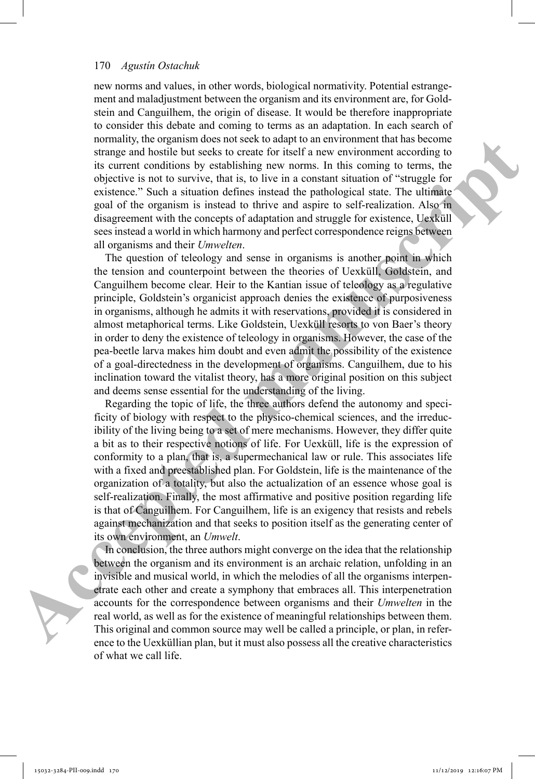new norms and values, in other words, biological normativity. Potential estrangement and maladjustment between the organism and its environment are, for Goldstein and Canguilhem, the origin of disease. It would be therefore inappropriate to consider this debate and coming to terms as an adaptation. In each search of normality, the organism does not seek to adapt to an environment that has become strange and hostile but seeks to create for itself a new environment according to its current conditions by establishing new norms. In this coming to terms, the objective is not to survive, that is, to live in a constant situation of "struggle for existence." Such a situation defines instead the pathological state. The ultimate goal of the organism is instead to thrive and aspire to self-realization. Also in disagreement with the concepts of adaptation and struggle for existence, Uexküll sees instead a world in which harmony and perfect correspondence reigns between all organisms and their *Umwelten*.

 The question of teleology and sense in organisms is another point in which the tension and counterpoint between the theories of Uexküll, Goldstein, and Canguilhem become clear. Heir to the Kantian issue of teleology as a regulative principle, Goldstein's organicist approach denies the existence of purposiveness in organisms, although he admits it with reservations, provided it is considered in almost metaphorical terms. Like Goldstein, Uexküll resorts to von Baer's theory in order to deny the existence of teleology in organisms. However, the case of the pea-beetle larva makes him doubt and even admit the possibility of the existence of a goal-directedness in the development of organisms. Canguilhem, due to his inclination toward the vitalist theory, has a more original position on this subject and deems sense essential for the understanding of the living. nomany the optimizer of experiment of the street of the street of the street of the street of the street of the street of the street of the street of the street of the street of the street of the street of the street of st

 Regarding the topic of life, the three authors defend the autonomy and specificity of biology with respect to the physico-chemical sciences, and the irreducibility of the living being to a set of mere mechanisms. However, they differ quite a bit as to their respective notions of life. For Uexküll, life is the expression of conformity to a plan, that is, a supermechanical law or rule. This associates life with a fixed and preestablished plan. For Goldstein, life is the maintenance of the organization of a totality, but also the actualization of an essence whose goal is self-realization. Finally, the most affirmative and positive position regarding life is that of Canguilhem. For Canguilhem, life is an exigency that resists and rebels against mechanization and that seeks to position itself as the generating center of its own environment, an *Umwelt*.

 In conclusion, the three authors might converge on the idea that the relationship between the organism and its environment is an archaic relation, unfolding in an invisible and musical world, in which the melodies of all the organisms interpenetrate each other and create a symphony that embraces all. This interpenetration accounts for the correspondence between organisms and their *Umwelten* in the real world, as well as for the existence of meaningful relationships between them. This original and common source may well be called a principle, or plan, in reference to the Uexküllian plan, but it must also possess all the creative characteristics of what we call life.